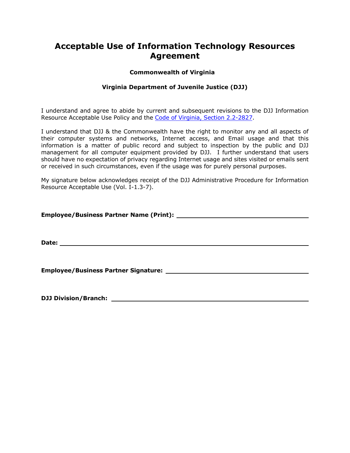# **Acceptable Use of Information Technology Resources Agreement**

#### **Commonwealth of Virginia**

### **Virginia Department of Juvenile Justice (DJJ)**

I understand and agree to abide by current and subsequent revisions to the DJJ Information Resource Acceptable Use Policy and the Code of Virginia, Section [2.2-2827.](http://leg1.state.va.us/cgi-bin/legp504.exe?000+cod+2.2-2827)

I understand that DJJ & the Commonwealth have the right to monitor any and all aspects of their computer systems and networks, Internet access, and Email usage and that this information is a matter of public record and subject to inspection by the public and DJJ management for all computer equipment provided by DJJ. I further understand that users should have no expectation of privacy regarding Internet usage and sites visited or emails sent or received in such circumstances, even if the usage was for purely personal purposes.

My signature below acknowledges receipt of the DJJ Administrative Procedure for Information Resource Acceptable Use (Vol. I-1.3-7).

**Employee/Business Partner Name (Print):**

**Date:**

**Employee/Business Partner Signature:**

**DJJ Division/Branch:**